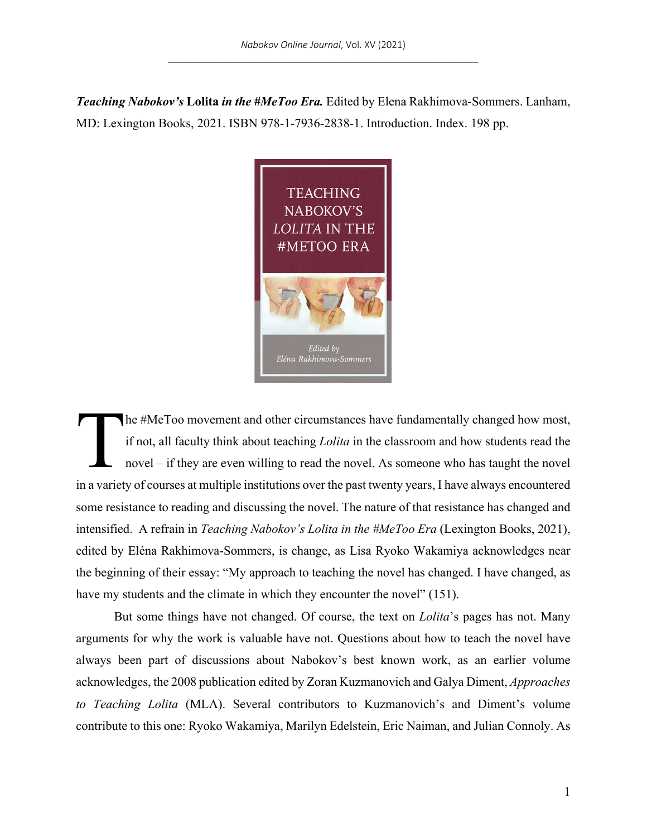*Teaching Nabokov's* **Lolita** *in the #MeToo Era.* Edited by Elena Rakhimova-Sommers. Lanham, MD: Lexington Books, 2021. ISBN 978-1-7936-2838-1. Introduction. Index. 198 pp.



he #MeToo movement and other circumstances have fundamentally changed how most, if not, all faculty think about teaching *Lolita* in the classroom and how students read the novel – if they are even willing to read the novel. As someone who has taught the novel in a variety of courses at multiple institutions over the past twenty years, I have always encountered some resistance to reading and discussing the novel. The nature of that resistance has changed and intensified. A refrain in *Teaching Nabokov's Lolita in the #MeToo Era* (Lexington Books, 2021), edited by Eléna Rakhimova-Sommers, is change, as Lisa Ryoko Wakamiya acknowledges near the beginning of their essay: "My approach to teaching the novel has changed. I have changed, as have my students and the climate in which they encounter the novel" (151). T

But some things have not changed. Of course, the text on *Lolita*'s pages has not. Many arguments for why the work is valuable have not. Questions about how to teach the novel have always been part of discussions about Nabokov's best known work, as an earlier volume acknowledges, the 2008 publication edited by Zoran Kuzmanovich and Galya Diment, *Approaches to Teaching Lolita* (MLA). Several contributors to Kuzmanovich's and Diment's volume contribute to this one: Ryoko Wakamiya, Marilyn Edelstein, Eric Naiman, and Julian Connoly. As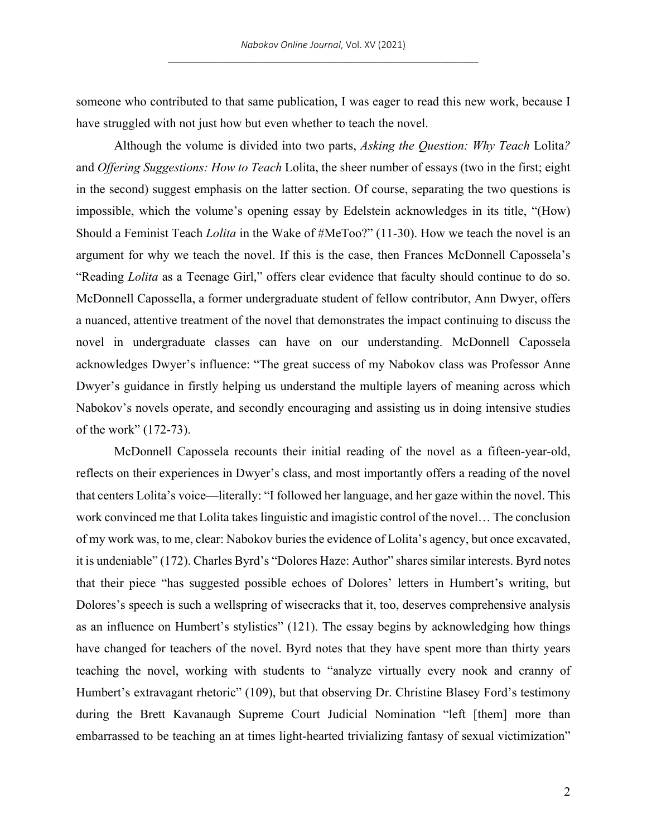someone who contributed to that same publication, I was eager to read this new work, because I have struggled with not just how but even whether to teach the novel.

Although the volume is divided into two parts, *Asking the Question: Why Teach* Lolita*?* and *Offering Suggestions: How to Teach* Lolita, the sheer number of essays (two in the first; eight in the second) suggest emphasis on the latter section. Of course, separating the two questions is impossible, which the volume's opening essay by Edelstein acknowledges in its title, "(How) Should a Feminist Teach *Lolita* in the Wake of #MeToo?" (11-30). How we teach the novel is an argument for why we teach the novel. If this is the case, then Frances McDonnell Capossela's "Reading *Lolita* as a Teenage Girl," offers clear evidence that faculty should continue to do so. McDonnell Capossella, a former undergraduate student of fellow contributor, Ann Dwyer, offers a nuanced, attentive treatment of the novel that demonstrates the impact continuing to discuss the novel in undergraduate classes can have on our understanding. McDonnell Capossela acknowledges Dwyer's influence: "The great success of my Nabokov class was Professor Anne Dwyer's guidance in firstly helping us understand the multiple layers of meaning across which Nabokov's novels operate, and secondly encouraging and assisting us in doing intensive studies of the work" (172-73).

McDonnell Capossela recounts their initial reading of the novel as a fifteen-year-old, reflects on their experiences in Dwyer's class, and most importantly offers a reading of the novel that centers Lolita's voice—literally: "I followed her language, and her gaze within the novel. This work convinced me that Lolita takes linguistic and imagistic control of the novel… The conclusion of my work was, to me, clear: Nabokov buries the evidence of Lolita's agency, but once excavated, it is undeniable" (172). Charles Byrd's "Dolores Haze: Author" shares similar interests. Byrd notes that their piece "has suggested possible echoes of Dolores' letters in Humbert's writing, but Dolores's speech is such a wellspring of wisecracks that it, too, deserves comprehensive analysis as an influence on Humbert's stylistics" (121). The essay begins by acknowledging how things have changed for teachers of the novel. Byrd notes that they have spent more than thirty years teaching the novel, working with students to "analyze virtually every nook and cranny of Humbert's extravagant rhetoric" (109), but that observing Dr. Christine Blasey Ford's testimony during the Brett Kavanaugh Supreme Court Judicial Nomination "left [them] more than embarrassed to be teaching an at times light-hearted trivializing fantasy of sexual victimization"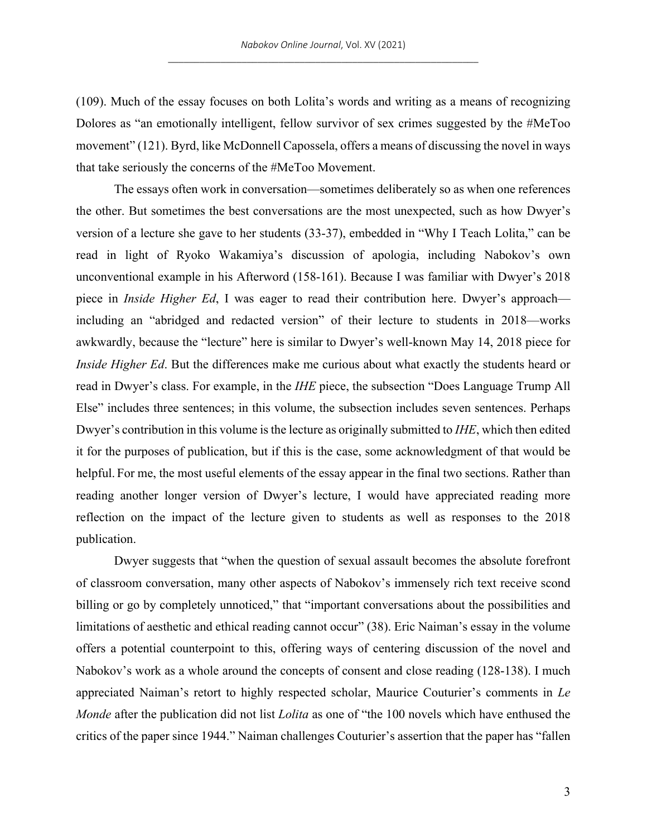(109). Much of the essay focuses on both Lolita's words and writing as a means of recognizing Dolores as "an emotionally intelligent, fellow survivor of sex crimes suggested by the #MeToo movement" (121). Byrd, like McDonnell Capossela, offers a means of discussing the novel in ways that take seriously the concerns of the #MeToo Movement.

The essays often work in conversation—sometimes deliberately so as when one references the other. But sometimes the best conversations are the most unexpected, such as how Dwyer's version of a lecture she gave to her students (33-37), embedded in "Why I Teach Lolita," can be read in light of Ryoko Wakamiya's discussion of apologia, including Nabokov's own unconventional example in his Afterword (158-161). Because I was familiar with Dwyer's 2018 piece in *Inside Higher Ed*, I was eager to read their contribution here. Dwyer's approach including an "abridged and redacted version" of their lecture to students in 2018—works awkwardly, because the "lecture" here is similar to Dwyer's well-known May 14, 2018 piece for *Inside Higher Ed*. But the differences make me curious about what exactly the students heard or read in Dwyer's class. For example, in the *IHE* piece, the subsection "Does Language Trump All Else" includes three sentences; in this volume, the subsection includes seven sentences. Perhaps Dwyer's contribution in this volume is the lecture as originally submitted to *IHE*, which then edited it for the purposes of publication, but if this is the case, some acknowledgment of that would be helpful. For me, the most useful elements of the essay appear in the final two sections. Rather than reading another longer version of Dwyer's lecture, I would have appreciated reading more reflection on the impact of the lecture given to students as well as responses to the 2018 publication.

Dwyer suggests that "when the question of sexual assault becomes the absolute forefront of classroom conversation, many other aspects of Nabokov's immensely rich text receive scond billing or go by completely unnoticed," that "important conversations about the possibilities and limitations of aesthetic and ethical reading cannot occur" (38). Eric Naiman's essay in the volume offers a potential counterpoint to this, offering ways of centering discussion of the novel and Nabokov's work as a whole around the concepts of consent and close reading (128-138). I much appreciated Naiman's retort to highly respected scholar, Maurice Couturier's comments in *Le Monde* after the publication did not list *Lolita* as one of "the 100 novels which have enthused the critics of the paper since 1944." Naiman challenges Couturier's assertion that the paper has "fallen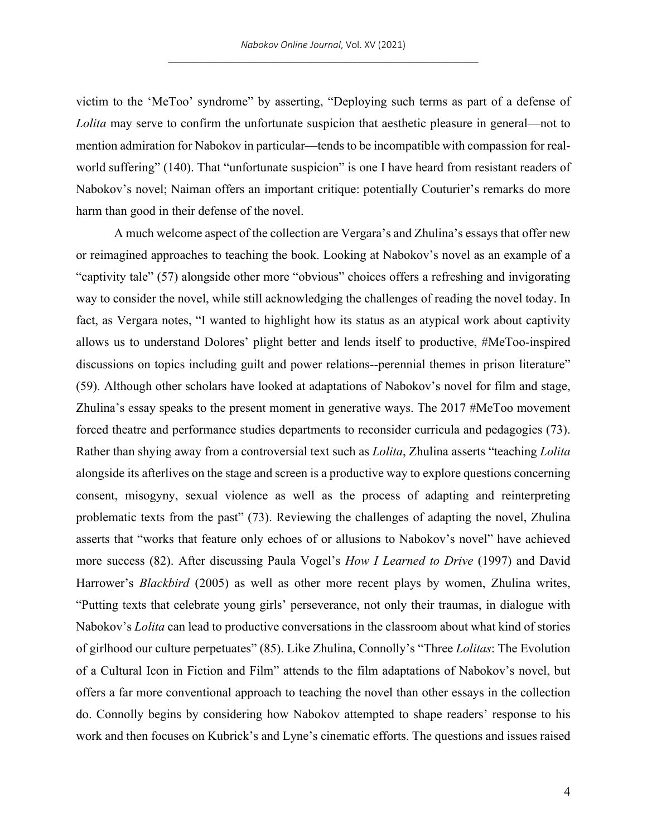victim to the 'MeToo' syndrome" by asserting, "Deploying such terms as part of a defense of *Lolita* may serve to confirm the unfortunate suspicion that aesthetic pleasure in general—not to mention admiration for Nabokov in particular—tends to be incompatible with compassion for realworld suffering" (140). That "unfortunate suspicion" is one I have heard from resistant readers of Nabokov's novel; Naiman offers an important critique: potentially Couturier's remarks do more harm than good in their defense of the novel.

A much welcome aspect of the collection are Vergara's and Zhulina's essays that offer new or reimagined approaches to teaching the book. Looking at Nabokov's novel as an example of a "captivity tale" (57) alongside other more "obvious" choices offers a refreshing and invigorating way to consider the novel, while still acknowledging the challenges of reading the novel today. In fact, as Vergara notes, "I wanted to highlight how its status as an atypical work about captivity allows us to understand Dolores' plight better and lends itself to productive, #MeToo-inspired discussions on topics including guilt and power relations--perennial themes in prison literature" (59). Although other scholars have looked at adaptations of Nabokov's novel for film and stage, Zhulina's essay speaks to the present moment in generative ways. The 2017 #MeToo movement forced theatre and performance studies departments to reconsider curricula and pedagogies (73). Rather than shying away from a controversial text such as *Lolita*, Zhulina asserts "teaching *Lolita*  alongside its afterlives on the stage and screen is a productive way to explore questions concerning consent, misogyny, sexual violence as well as the process of adapting and reinterpreting problematic texts from the past" (73). Reviewing the challenges of adapting the novel, Zhulina asserts that "works that feature only echoes of or allusions to Nabokov's novel" have achieved more success (82). After discussing Paula Vogel's *How I Learned to Drive* (1997) and David Harrower's *Blackbird* (2005) as well as other more recent plays by women, Zhulina writes, "Putting texts that celebrate young girls' perseverance, not only their traumas, in dialogue with Nabokov's *Lolita* can lead to productive conversations in the classroom about what kind of stories of girlhood our culture perpetuates" (85). Like Zhulina, Connolly's "Three *Lolitas*: The Evolution of a Cultural Icon in Fiction and Film" attends to the film adaptations of Nabokov's novel, but offers a far more conventional approach to teaching the novel than other essays in the collection do. Connolly begins by considering how Nabokov attempted to shape readers' response to his work and then focuses on Kubrick's and Lyne's cinematic efforts. The questions and issues raised